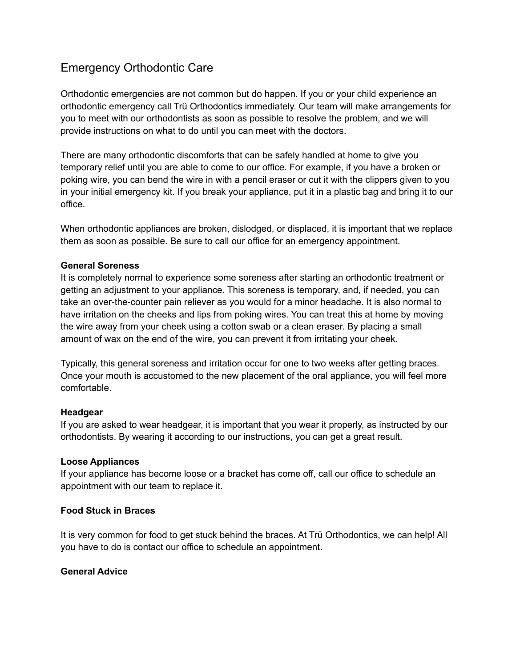# Emergency Orthodontic Care

Orthodontic emergencies are not common but do happen. If you or your child experience an orthodontic emergency call Trü Orthodontics immediately. Our team will make arrangements for you to meet with our orthodontists as soon as possible to resolve the problem, and we will provide instructions on what to do until you can meet with the doctors.

There are many orthodontic discomforts that can be safely handled at home to give you temporary relief until you are able to come to our office. For example, if you have a broken or poking wire, you can bend the wire in with a pencil eraser or cut it with the clippers given to you in your initial emergency kit. If you break your appliance, put it in a plastic bag and bring it to our office.

When orthodontic appliances are broken, dislodged, or displaced, it is important that we replace them as soon as possible. Be sure to call our office for an emergency appointment.

### **General Soreness**

It is completely normal to experience some soreness after starting an orthodontic treatment or getting an adjustment to your appliance. This soreness is temporary, and, if needed, you can take an over-the-counter pain reliever as you would for a minor headache. It is also normal to have irritation on the cheeks and lips from poking wires. You can treat this at home by moving the wire away from your cheek using a cotton swab or a clean eraser. By placing a small amount of wax on the end of the wire, you can prevent it from irritating your cheek.

Typically, this general soreness and irritation occur for one to two weeks after getting braces. Once your mouth is accustomed to the new placement of the oral appliance, you will feel more comfortable.

# **Headgear**

If you are asked to wear headgear, it is important that you wear it properly, as instructed by our orthodontists. By wearing it according to our instructions, you can get a great result.

### **Loose Appliances**

If your appliance has become loose or a bracket has come off, call our office to schedule an appointment with our team to replace it.

# **Food Stuck in Braces**

It is very common for food to get stuck behind the braces. At Trü Orthodontics, we can help! All you have to do is contact our office to schedule an appointment.

# **General Advice**